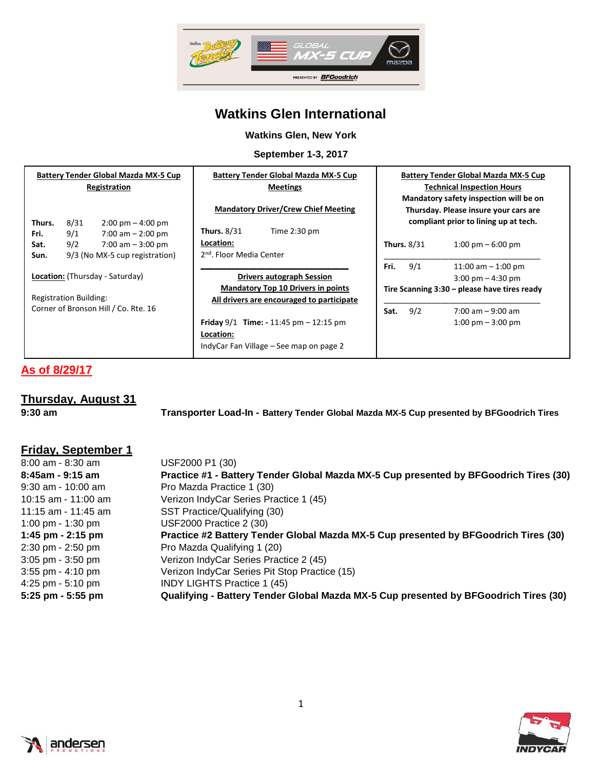

## **Watkins Glen International**

#### **Watkins Glen, New York**

**September 1-3, 2017**

| <b>Battery Tender Global Mazda MX-5 Cup</b><br>Registration<br>8/31<br>$2:00 \text{ pm} - 4:00 \text{ pm}$<br>Thurs. | <b>Battery Tender Global Mazda MX-5 Cup</b><br><b>Meetings</b><br><b>Mandatory Driver/Crew Chief Meeting</b> |                    | <b>Battery Tender Global Mazda MX-5 Cup</b><br><b>Technical Inspection Hours</b><br>Mandatory safety inspection will be on<br>Thursday. Please insure your cars are<br>compliant prior to lining up at tech. |
|----------------------------------------------------------------------------------------------------------------------|--------------------------------------------------------------------------------------------------------------|--------------------|--------------------------------------------------------------------------------------------------------------------------------------------------------------------------------------------------------------|
| 9/1<br>Fri.<br>$7:00$ am $-2:00$ pm                                                                                  | <b>Thurs. 8/31</b><br>Time $2:30$ pm                                                                         |                    |                                                                                                                                                                                                              |
| 9/2<br>7:00 am $-3:00$ pm<br>Sat.                                                                                    | Location:                                                                                                    | <b>Thurs. 8/31</b> | $1:00 \text{ pm} - 6:00 \text{ pm}$                                                                                                                                                                          |
| 9/3 (No MX-5 cup registration)<br>Sun.                                                                               | 2 <sup>nd</sup> , Floor Media Center                                                                         |                    |                                                                                                                                                                                                              |
|                                                                                                                      |                                                                                                              | 9/1<br>Fri.        | 11:00 am $-$ 1:00 pm                                                                                                                                                                                         |
| Location: (Thursday - Saturday)                                                                                      | <b>Drivers autograph Session</b>                                                                             |                    | $3:00 \text{ pm} - 4:30 \text{ pm}$                                                                                                                                                                          |
|                                                                                                                      | <b>Mandatory Top 10 Drivers in points</b>                                                                    |                    | Tire Scanning 3:30 - please have tires ready                                                                                                                                                                 |
| <b>Registration Building:</b>                                                                                        | All drivers are encouraged to participate                                                                    |                    |                                                                                                                                                                                                              |
| Corner of Bronson Hill / Co. Rte. 16                                                                                 |                                                                                                              | 9/2<br>Sat.        | $7:00$ am $-9:00$ am                                                                                                                                                                                         |
|                                                                                                                      | <b>Friday</b> $9/1$ <b>Time:</b> - 11:45 pm $-$ 12:15 pm                                                     |                    | $1:00 \text{ pm} - 3:00 \text{ pm}$                                                                                                                                                                          |
|                                                                                                                      | Location:                                                                                                    |                    |                                                                                                                                                                                                              |
|                                                                                                                      | IndyCar Fan Village – See map on page 2                                                                      |                    |                                                                                                                                                                                                              |

# **As of 8/29/17**

| <b>Thursday, August 31</b> |                                                                                          |
|----------------------------|------------------------------------------------------------------------------------------|
| $9:30$ am                  | Transporter Load-In - Battery Tender Global Mazda MX-5 Cup presented by BFGoodrich Tires |

| USF2000 P1 (30)                                                                       |
|---------------------------------------------------------------------------------------|
| Practice #1 - Battery Tender Global Mazda MX-5 Cup presented by BFGoodrich Tires (30) |
| Pro Mazda Practice 1 (30)                                                             |
| Verizon IndyCar Series Practice 1 (45)                                                |
| SST Practice/Qualifying (30)                                                          |
| <b>USF2000 Practice 2 (30)</b>                                                        |
| Practice #2 Battery Tender Global Mazda MX-5 Cup presented by BFGoodrich Tires (30)   |
| Pro Mazda Qualifying 1 (20)                                                           |
| Verizon IndyCar Series Practice 2 (45)                                                |
| Verizon IndyCar Series Pit Stop Practice (15)                                         |
| <b>INDY LIGHTS Practice 1 (45)</b>                                                    |
| Qualifying - Battery Tender Global Mazda MX-5 Cup presented by BFGoodrich Tires (30)  |
|                                                                                       |